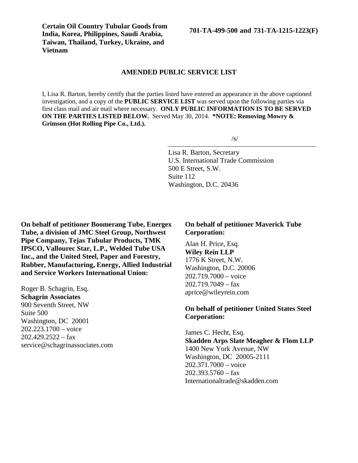**Certain Oil Country Tubular Goods from India, Korea, Philippines, Saudi Arabia, Taiwan, Thailand, Turkey, Ukraine, and Vietnam**

**701-TA-499-500 and 731-TA-1215-1223(F)**

#### **AMENDED PUBLIC SERVICE LIST**

I, Lisa R. Barton, hereby certify that the parties listed have entered an appearance in the above captioned investigation, and a copy of the **PUBLIC SERVICE LIST** was served upon the following parties via first class mail and air mail where necessary. **ONLY PUBLIC INFORMATION IS TO BE SERVED ON THE PARTIES LISTED BELOW.** Served May 30, 2014. **\*NOTE: Removing Mowry & Grimson (Hot Rolling Pipe Co., Ltd.).**

/s/

Lisa R. Barton, Secretary U.S. International Trade Commission 500 E Street, S.W. Suite 112 Washington, D.C. 20436

**On behalf of petitioner Boomerang Tube, Energex Tube, a division of JMC Steel Group, Northwest Pipe Company, Tejas Tubular Products, TMK IPSCO, Vallourec Star, L.P., Welded Tube USA Inc., and the United Steel, Paper and Forestry, Rubber, Manufacturing, Energy, Allied Industrial and Service Workers International Union:**

Roger B. Schagrin, Esq. **Schagrin Associates** 900 Seventh Street, NW Suite 500 Washington, DC 20001 202.223.1700 – voice  $202.429.2522 - fax$ service@schagrinassociates.com

#### **On behalf of petitioner Maverick Tube Corporation:**

Alan H. Price, Esq. **Wiley Rein LLP** 1776 K Street, N.W. Washington, D.C. 20006 202.719.7000 – voice  $202.719.7049 - fax$ aprice@wileyrein.com

## **On behalf of petitioner United States Steel Corporation:**

James C. Hecht, Esq. **Skadden Arps Slate Meagher & Flom LLP** 1400 New York Avenue, NW Washington, DC 20005-2111 202.371.7000 – voice  $202.393.5760 - fax$ Internationaltrade@skadden.com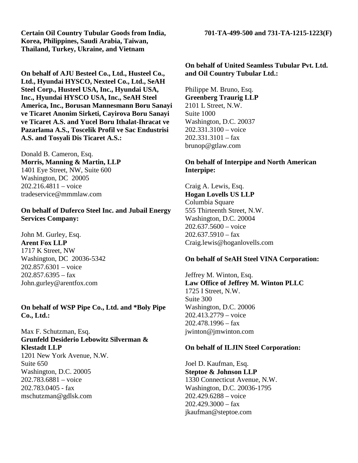**Certain Oil Country Tubular Goods from India, 701-TA-499-500 and 731-TA-1215-1223(F) Korea, Philippines, Saudi Arabia, Taiwan, Thailand, Turkey, Ukraine, and Vietnam**

**On behalf of AJU Besteel Co., Ltd., Husteel Co., Ltd., Hyundai HYSCO, Nexteel Co., Ltd., SeAH Steel Corp., Husteel USA, Inc., Hyundai USA, Inc., Hyundai HYSCO USA, Inc., SeAH Steel America, Inc., Borusan Mannesmann Boru Sanayi ve Ticaret Anonim Sirketi, Cayirova Boru Sanayi ve Ticaret A.S. and Yucel Boru Ithalat-Ihracat ve Pazarlama A.S., Toscelik Profil ve Sac Endustrisi A.S. and Tosyali Dis Ticaret A.S.:**

Donald B. Cameron, Esq. **Morris, Manning & Martin, LLP** 1401 Eye Street, NW, Suite 600 Washington, DC 20005 202.216.4811 – voice tradeservice@mmmlaw.com

## **On behalf of Duferco Steel Inc. and Jubail Energy Services Company:**

John M. Gurley, Esq. **Arent Fox LLP** 1717 K Street, NW Washington, DC 20036-5342 202.857.6301 – voice 202.857.6395 – fax John.gurley@arentfox.com

#### **On behalf of WSP Pipe Co., Ltd. and \*Boly Pipe Co., Ltd.:**

Max F. Schutzman, Esq. **Grunfeld Desiderio Lebowitz Silverman & Klestadt LLP** 1201 New York Avenue, N.W. Suite 650 Washington, D.C. 20005 202.783.6881 – voice 202.783.0405 - fax mschutzman@gdlsk.com

**On behalf of United Seamless Tubular Pvt. Ltd. and Oil Country Tubular Ltd.:**

Philippe M. Bruno, Esq. **Greenberg Traurig LLP** 2101 L Street, N.W. Suite 1000 Washington, D.C. 20037 202.331.3100 – voice  $202.331.3101 - fax$ brunop@gtlaw.com

# **On behalf of Interpipe and North American Interpipe:**

Craig A. Lewis, Esq. **Hogan Lovells US LLP** Columbia Square 555 Thirteenth Street, N.W. Washington, D.C. 20004 202.637.5600 – voice  $202.637.5910 - fax$ Craig.lewis@hoganlovells.com

#### **On behalf of SeAH Steel VINA Corporation:**

Jeffrey M. Winton, Esq. **Law Office of Jeffrey M. Winton PLLC** 1725 I Street, N.W. Suite 300 Washington, D.C. 20006 202.413.2779 – voice  $202.478.1996 - fax$ jwinton@jmwinton.com

# **On behalf of ILJIN Steel Corporation:**

Joel D. Kaufman, Esq. **Steptoe & Johnson LLP** 1330 Connecticut Avenue, N.W. Washington, D.C. 20036-1795 202.429.6288 – voice  $202.429.3000 - fax$ jkaufman@steptoe.com